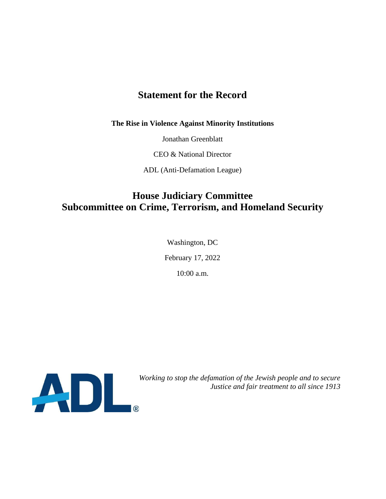# **Statement for the Record**

**The Rise in Violence Against Minority Institutions**

Jonathan Greenblatt

CEO & National Director

ADL (Anti-Defamation League)

# **House Judiciary Committee Subcommittee on Crime, Terrorism, and Homeland Security**

Washington, DC February 17, 2022 10:00 a.m.



*Justice and fair treatment to all since 1913*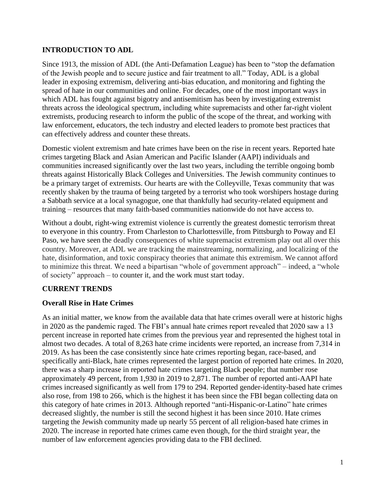# **INTRODUCTION TO ADL**

Since 1913, the mission of ADL (the Anti-Defamation League) has been to "stop the defamation of the Jewish people and to secure justice and fair treatment to all." Today, ADL is a global leader in exposing extremism, delivering anti-bias education, and monitoring and fighting the spread of hate in our communities and online. For decades, one of the most important ways in which ADL has fought against bigotry and antisemitism has been by investigating extremist threats across the ideological spectrum, including white supremacists and other far-right violent extremists, producing research to inform the public of the scope of the threat, and working with law enforcement, educators, the tech industry and elected leaders to promote best practices that can effectively address and counter these threats.

Domestic violent extremism and hate crimes have been on the rise in recent years. Reported hate crimes targeting Black and Asian American and Pacific Islander (AAPI) individuals and communities increased significantly over the last two years, including the terrible ongoing bomb threats against Historically Black Colleges and Universities. The Jewish community continues to be a primary target of extremists. Our hearts are with the Colleyville, Texas community that was recently shaken by the trauma of being targeted by a terrorist who took worshipers hostage during a Sabbath service at a local synagogue, one that thankfully had security-related equipment and training – resources that many faith-based communities nationwide do not have access to.

Without a doubt, right-wing extremist violence is currently the greatest domestic terrorism threat to everyone in this country. From Charleston to Charlottesville, from Pittsburgh to Poway and El Paso, we have seen the deadly consequences of white supremacist extremism play out all over this country. Moreover, at ADL we are tracking the mainstreaming, normalizing, and localizing of the hate, disinformation, and toxic conspiracy theories that animate this extremism. We cannot afford to minimize this threat. We need a bipartisan "whole of government approach" – indeed, a "whole of society" approach – to counter it, and the work must start today.

### **CURRENT TRENDS**

### **Overall Rise in Hate Crimes**

As an initial matter, we know from the available data that hate crimes overall were at historic highs in 2020 as the pandemic raged. The FBI's annual hate crimes report revealed that 2020 saw a 13 percent increase in reported hate crimes from the previous year and represented the highest total in almost two decades. A total of 8,263 hate crime incidents were reported, an increase from 7,314 in 2019. As has been the case consistently since hate crimes reporting began, race-based, and specifically anti-Black, hate crimes represented the largest portion of reported hate crimes. In 2020, there was a sharp increase in reported hate crimes targeting Black people; that number rose approximately 49 percent, from 1,930 in 2019 to 2,871. The number of reported anti-AAPI hate crimes increased significantly as well from 179 to 294. Reported gender-identity-based hate crimes also rose, from 198 to 266, which is the highest it has been since the FBI began collecting data on this category of hate crimes in 2013. Although reported "anti-Hispanic-or-Latino" hate crimes decreased slightly, the number is still the second highest it has been since 2010. Hate crimes targeting the Jewish community made up nearly 55 percent of all religion-based hate crimes in 2020. The increase in reported hate crimes came even though, for the third straight year, the number of law enforcement agencies providing data to the FBI declined.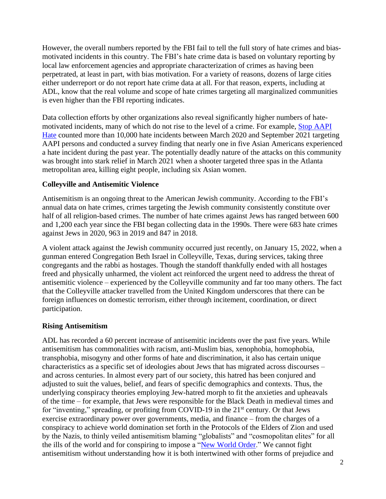However, the overall numbers reported by the FBI fail to tell the full story of hate crimes and biasmotivated incidents in this country. The FBI's hate crime data is based on voluntary reporting by local law enforcement agencies and appropriate characterization of crimes as having been perpetrated, at least in part, with bias motivation. For a variety of reasons, dozens of large cities either underreport or do not report hate crime data at all. For that reason, experts, including at ADL, know that the real volume and scope of hate crimes targeting all marginalized communities is even higher than the FBI reporting indicates.

Data collection efforts by other organizations also reveal significantly higher numbers of hatemotivated incidents, many of which do not rise to the level of a crime. For example, [Stop AAPI](https://stopaapihate.org/national-report-through-september-2021/)  [Hate](https://stopaapihate.org/national-report-through-september-2021/) counted more than 10,000 hate incidents between March 2020 and September 2021 targeting AAPI persons and conducted a survey finding that nearly one in five Asian Americans experienced a hate incident during the past year. The potentially deadly nature of the attacks on this community was brought into stark relief in March 2021 when a shooter targeted three spas in the Atlanta metropolitan area, killing eight people, including six Asian women.

#### **Colleyville and Antisemitic Violence**

Antisemitism is an ongoing threat to the American Jewish community. According to the FBI's annual data on hate crimes, crimes targeting the Jewish community consistently constitute over half of all religion-based crimes. The number of hate crimes against Jews has ranged between 600 and 1,200 each year since the FBI began collecting data in the 1990s. There were 683 hate crimes against Jews in 2020, 963 in 2019 and 847 in 2018.

A violent attack against the Jewish community occurred just recently, on January 15, 2022, when a gunman entered Congregation Beth Israel in Colleyville, Texas, during services, taking three congregants and the rabbi as hostages. Though the standoff thankfully ended with all hostages freed and physically unharmed, the violent act reinforced the urgent need to address the threat of antisemitic violence – experienced by the Colleyville community and far too many others. The fact that the Colleyville attacker travelled from the United Kingdom underscores that there can be foreign influences on domestic terrorism, either through incitement, coordination, or direct participation.

#### **Rising Antisemitism**

ADL has recorded a 60 percent increase of antisemitic incidents over the past five years. While antisemitism has commonalities with racism, anti-Muslim bias, xenophobia, homophobia, transphobia, misogyny and other forms of hate and discrimination, it also has certain unique characteristics as a specific set of ideologies about Jews that has migrated across discourses – and across centuries. In almost every part of our society, this hatred has been conjured and adjusted to suit the values, belief, and fears of specific demographics and contexts. Thus, the underlying conspiracy theories employing Jew-hatred morph to fit the anxieties and upheavals of the time – for example, that Jews were responsible for the Black Death in medieval times and for "inventing," spreading, or profiting from COVID-19 in the  $21<sup>st</sup>$  century. Or that Jews exercise extraordinary power over governments, media, and finance – from the charges of a conspiracy to achieve world domination set forth in the Protocols of the Elders of Zion and used by the Nazis, to thinly veiled antisemitism blaming "globalists" and "cosmopolitan elites" for all the ills of the world and for conspiring to impose a ["New World Order.](https://www.adl.org/resources/glossary-terms/new-world-order)" We cannot fight antisemitism without understanding how it is both intertwined with other forms of prejudice and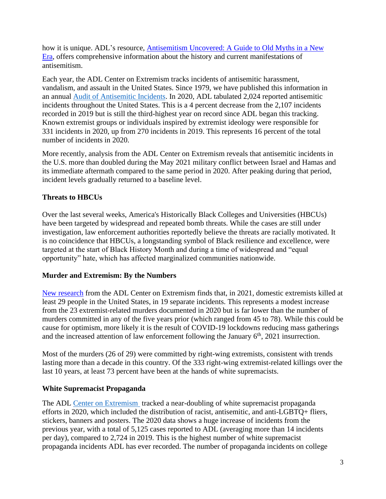how it is unique. ADL's resource, Antisemitism Uncovered: A Guide to Old Myths in a New [Era,](https://www.adl.org/antisemitism-uncovered-a-guide-to-old-myths-in-a-new-era) offers comprehensive information about the history and current manifestations of antisemitism.

Each year, the ADL Center on Extremism tracks incidents of antisemitic harassment, vandalism, and assault in the United States. Since 1979, we have published this information in an annual [Audit of Antisemitic Incidents.](https://www.adl.org/audit2020#executive-summary) In 2020, ADL tabulated 2,024 reported antisemitic incidents throughout the United States. This is a 4 percent decrease from the 2,107 incidents recorded in 2019 but is still the third-highest year on record since ADL began this tracking. Known extremist groups or individuals inspired by extremist ideology were responsible for 331 incidents in 2020, up from 270 incidents in 2019. This represents 16 percent of the total number of incidents in 2020.

More recently, analysis from the ADL Center on Extremism reveals that antisemitic incidents in the U.S. more than doubled during the May 2021 military conflict between Israel and Hamas and its immediate aftermath compared to the same period in 2020. After peaking during that period, incident levels gradually returned to a baseline level.

### **Threats to HBCUs**

Over the last several weeks, America's Historically Black Colleges and Universities (HBCUs) have been targeted by widespread and repeated bomb threats. While the cases are still under investigation, law enforcement authorities reportedly believe the threats are racially motivated. It is no coincidence that HBCUs, a longstanding symbol of Black resilience and excellence, were targeted at the start of Black History Month and during a time of widespread and "equal opportunity" hate, which has affected marginalized communities nationwide.

### **Murder and Extremism: By the Numbers**

[New research](https://www.adl.org/murder-and-extremism-2021) from the ADL Center on Extremism finds that, in 2021, domestic extremists killed at least 29 people in the United States, in 19 separate incidents. This represents a modest increase from the 23 extremist-related murders documented in 2020 but is far lower than the number of murders committed in any of the five years prior (which ranged from 45 to 78). While this could be cause for optimism, more likely it is the result of COVID-19 lockdowns reducing mass gatherings and the increased attention of law enforcement following the January  $6<sup>th</sup>$ , 2021 insurrection.

Most of the murders (26 of 29) were committed by right-wing extremists, consistent with trends lasting more than a decade in this country. Of the 333 right-wing extremist-related killings over the last 10 years, at least 73 percent have been at the hands of white supremacists.

### **White Supremacist Propaganda**

The ADL Center on Extremism [t](https://www.adl.org/who-we-are/our-organization/advocacy-centers/center-on-extremism)racked a near-doubling of white supremacist propaganda efforts in 2020, which included the distribution of racist, antisemitic, and anti-LGBTQ+ fliers, stickers, banners and posters. The 2020 data shows a huge increase of incidents from the previous year, with a total of 5,125 cases reported to ADL (averaging more than 14 incidents per day), compared to 2,724 in 2019. This is the highest number of white supremacist propaganda incidents ADL has ever recorded. The number of propaganda incidents on college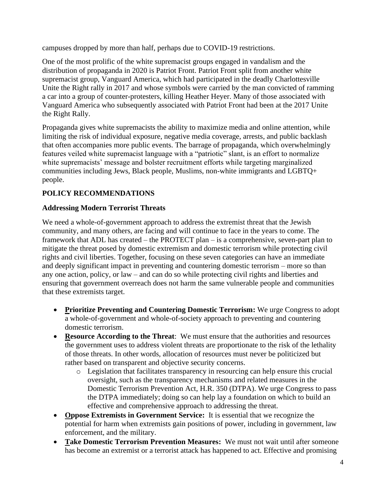campuses dropped by more than half, perhaps due to COVID-19 restrictions.

One of the most prolific of the white supremacist groups engaged in vandalism and the distribution of propaganda in 2020 is Patriot Front. Patriot Front split from another white supremacist group, Vanguard America, which had participated in the deadly Charlottesville Unite the Right rally in 2017 and whose symbols were carried by the man convicted of ramming a car into a group of counter-protesters, killing Heather Heyer. Many of those associated with Vanguard America who subsequently associated with Patriot Front had been at the 2017 Unite the Right Rally.

Propaganda gives white supremacists the ability to maximize media and online attention, while limiting the risk of individual exposure, negative media coverage, arrests, and public backlash that often accompanies more public events. The barrage of propaganda, which overwhelmingly features veiled white supremacist language with a "patriotic" slant, is an effort to normalize white supremacists' message and bolster recruitment efforts while targeting marginalized communities including Jews, Black people, Muslims, non-white immigrants and LGBTQ+ people.

# **POLICY RECOMMENDATIONS**

## **Addressing Modern Terrorist Threats**

We need a whole-of-government approach to address the extremist threat that the Jewish community, and many others, are facing and will continue to face in the years to come. The framework that ADL has created – the PROTECT plan – is a comprehensive, seven-part plan to mitigate the threat posed by domestic extremism and domestic terrorism while protecting civil rights and civil liberties. Together, focusing on these seven categories can have an immediate and deeply significant impact in preventing and countering domestic terrorism – more so than any one action, policy, or law – and can do so while protecting civil rights and liberties and ensuring that government overreach does not harm the same vulnerable people and communities that these extremists target.

- **Prioritize Preventing and Countering Domestic Terrorism:** We urge Congress to adopt a whole-of-government and whole-of-society approach to preventing and countering domestic terrorism.
- **Resource According to the Threat**: We must ensure that the authorities and resources the government uses to address violent threats are proportionate to the risk of the lethality of those threats. In other words, allocation of resources must never be politicized but rather based on transparent and objective security concerns.
	- o Legislation that facilitates transparency in resourcing can help ensure this crucial oversight, such as the transparency mechanisms and related measures in the Domestic Terrorism Prevention Act, H.R. 350 (DTPA). We urge Congress to pass the DTPA immediately; doing so can help lay a foundation on which to build an effective and comprehensive approach to addressing the threat.
- **Oppose Extremists in Government Service:** It is essential that we recognize the potential for harm when extremists gain positions of power, including in government, law enforcement, and the military.
- **Take Domestic Terrorism Prevention Measures:** We must not wait until after someone has become an extremist or a terrorist attack has happened to act. Effective and promising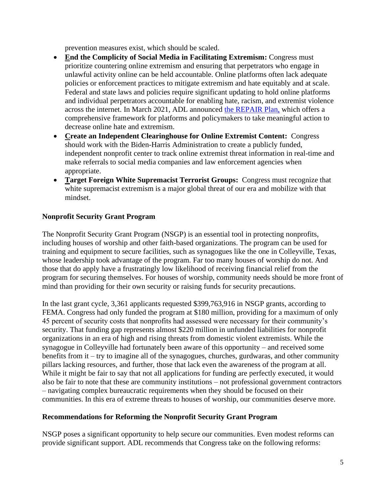prevention measures exist, which should be scaled.

- **End the Complicity of Social Media in Facilitating Extremism:** Congress must prioritize countering online extremism and ensuring that perpetrators who engage in unlawful activity online can be held accountable. Online platforms often lack adequate policies or enforcement practices to mitigate extremism and hate equitably and at scale. Federal and state laws and policies require significant updating to hold online platforms and individual perpetrators accountable for enabling hate, racism, and extremist violence across the internet. In March 2021, ADL announced [the REPAIR Plan,](https://www.adl.org/repairplan) which offers a comprehensive framework for platforms and policymakers to take meaningful action to decrease online hate and extremism.
- **Create an Independent Clearinghouse for Online Extremist Content:** Congress should work with the Biden-Harris Administration to create a publicly funded, independent nonprofit center to track online extremist threat information in real-time and make referrals to social media companies and law enforcement agencies when appropriate.
- **Target Foreign White Supremacist Terrorist Groups:** Congress must recognize that white supremacist extremism is a major global threat of our era and mobilize with that mindset.

## **Nonprofit Security Grant Program**

The Nonprofit Security Grant Program (NSGP) is an essential tool in protecting nonprofits, including houses of worship and other faith-based organizations. The program can be used for training and equipment to secure facilities, such as synagogues like the one in Colleyville, Texas, whose leadership took advantage of the program. Far too many houses of worship do not. And those that do apply have a frustratingly low likelihood of receiving financial relief from the program for securing themselves. For houses of worship, community needs should be more front of mind than providing for their own security or raising funds for security precautions.

In the last grant cycle, 3,361 applicants requested \$399,763,916 in NSGP grants, according to FEMA. Congress had only funded the program at \$180 million, providing for a maximum of only 45 percent of security costs that nonprofits had assessed were necessary for their community's security. That funding gap represents almost \$220 million in unfunded liabilities for nonprofit organizations in an era of high and rising threats from domestic violent extremists. While the synagogue in Colleyville had fortunately been aware of this opportunity – and received some benefits from it – try to imagine all of the synagogues, churches, gurdwaras, and other community pillars lacking resources, and further, those that lack even the awareness of the program at all. While it might be fair to say that not all applications for funding are perfectly executed, it would also be fair to note that these are community institutions – not professional government contractors – navigating complex bureaucratic requirements when they should be focused on their communities. In this era of extreme threats to houses of worship, our communities deserve more.

### **Recommendations for Reforming the Nonprofit Security Grant Program**

NSGP poses a significant opportunity to help secure our communities. Even modest reforms can provide significant support. ADL recommends that Congress take on the following reforms: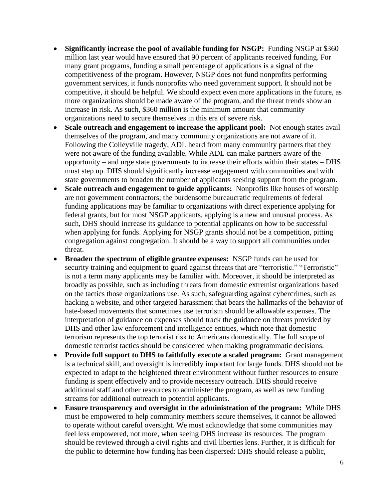- **Significantly increase the pool of available funding for NSGP:** Funding NSGP at \$360 million last year would have ensured that 90 percent of applicants received funding. For many grant programs, funding a small percentage of applications is a signal of the competitiveness of the program. However, NSGP does not fund nonprofits performing government services, it funds nonprofits who need government support. It should not be competitive, it should be helpful. We should expect even more applications in the future, as more organizations should be made aware of the program, and the threat trends show an increase in risk. As such, \$360 million is the minimum amount that community organizations need to secure themselves in this era of severe risk.
- **Scale outreach and engagement to increase the applicant pool:** Not enough states avail themselves of the program, and many community organizations are not aware of it. Following the Colleyville tragedy, ADL heard from many community partners that they were not aware of the funding available. While ADL can make partners aware of the opportunity – and urge state governments to increase their efforts within their states – DHS must step up. DHS should significantly increase engagement with communities and with state governments to broaden the number of applicants seeking support from the program.
- **Scale outreach and engagement to guide applicants:** Nonprofits like houses of worship are not government contractors; the burdensome bureaucratic requirements of federal funding applications may be familiar to organizations with direct experience applying for federal grants, but for most NSGP applicants, applying is a new and unusual process. As such, DHS should increase its guidance to potential applicants on how to be successful when applying for funds. Applying for NSGP grants should not be a competition, pitting congregation against congregation. It should be a way to support all communities under threat.
- **Broaden the spectrum of eligible grantee expenses:** NSGP funds can be used for security training and equipment to guard against threats that are "terroristic." "Terroristic" is not a term many applicants may be familiar with. Moreover, it should be interpreted as broadly as possible, such as including threats from domestic extremist organizations based on the tactics those organizations use. As such, safeguarding against cybercrimes, such as hacking a website, and other targeted harassment that bears the hallmarks of the behavior of hate-based movements that sometimes use terrorism should be allowable expenses. The interpretation of guidance on expenses should track the guidance on threats provided by DHS and other law enforcement and intelligence entities, which note that domestic terrorism represents the top terrorist risk to Americans domestically. The full scope of domestic terrorist tactics should be considered when making programmatic decisions.
- **Provide full support to DHS to faithfully execute a scaled program:** Grant management is a technical skill, and oversight is incredibly important for large funds. DHS should not be expected to adapt to the heightened threat environment without further resources to ensure funding is spent effectively and to provide necessary outreach. DHS should receive additional staff and other resources to administer the program, as well as new funding streams for additional outreach to potential applicants.
- **Ensure transparency and oversight in the administration of the program:** While DHS must be empowered to help community members secure themselves, it cannot be allowed to operate without careful oversight. We must acknowledge that some communities may feel less empowered, not more, when seeing DHS increase its resources. The program should be reviewed through a civil rights and civil liberties lens. Further, it is difficult for the public to determine how funding has been dispersed: DHS should release a public,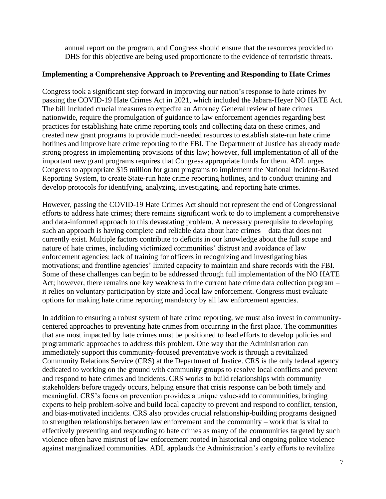annual report on the program, and Congress should ensure that the resources provided to DHS for this objective are being used proportionate to the evidence of terroristic threats.

#### **Implementing a Comprehensive Approach to Preventing and Responding to Hate Crimes**

Congress took a significant step forward in improving our nation's response to hate crimes by passing the COVID-19 Hate Crimes Act in 2021, which included the Jabara-Heyer NO HATE Act. The bill included crucial measures to expedite an Attorney General review of hate crimes nationwide, require the promulgation of guidance to law enforcement agencies regarding best practices for establishing hate crime reporting tools and collecting data on these crimes, and created new grant programs to provide much-needed resources to establish state-run hate crime hotlines and improve hate crime reporting to the FBI. The Department of Justice has already made strong progress in implementing provisions of this law; however, full implementation of all of the important new grant programs requires that Congress appropriate funds for them. ADL urges Congress to appropriate \$15 million for grant programs to implement the National Incident-Based Reporting System, to create State-run hate crime reporting hotlines, and to conduct training and develop protocols for identifying, analyzing, investigating, and reporting hate crimes.

However, passing the COVID-19 Hate Crimes Act should not represent the end of Congressional efforts to address hate crimes; there remains significant work to do to implement a comprehensive and data-informed approach to this devastating problem. A necessary prerequisite to developing such an approach is having complete and reliable data about hate crimes – data that does not currently exist. Multiple factors contribute to deficits in our knowledge about the full scope and nature of hate crimes, including victimized communities' distrust and avoidance of law enforcement agencies; lack of training for officers in recognizing and investigating bias motivations; and frontline agencies' limited capacity to maintain and share records with the FBI. Some of these challenges can begin to be addressed through full implementation of the NO HATE Act; however, there remains one key weakness in the current hate crime data collection program – it relies on voluntary participation by state and local law enforcement. Congress must evaluate options for making hate crime reporting mandatory by all law enforcement agencies.

In addition to ensuring a robust system of hate crime reporting, we must also invest in communitycentered approaches to preventing hate crimes from occurring in the first place. The communities that are most impacted by hate crimes must be positioned to lead efforts to develop policies and programmatic approaches to address this problem. One way that the Administration can immediately support this community-focused preventative work is through a revitalized Community Relations Service (CRS) at the Department of Justice. CRS is the only federal agency dedicated to working on the ground with community groups to resolve local conflicts and prevent and respond to hate crimes and incidents. CRS works to build relationships with community stakeholders before tragedy occurs, helping ensure that crisis response can be both timely and meaningful. CRS's focus on prevention provides a unique value-add to communities, bringing experts to help problem-solve and build local capacity to prevent and respond to conflict, tension, and bias-motivated incidents. CRS also provides crucial relationship-building programs designed to strengthen relationships between law enforcement and the community – work that is vital to effectively preventing and responding to hate crimes as many of the communities targeted by such violence often have mistrust of law enforcement rooted in historical and ongoing police violence against marginalized communities. ADL applauds the Administration's early efforts to revitalize